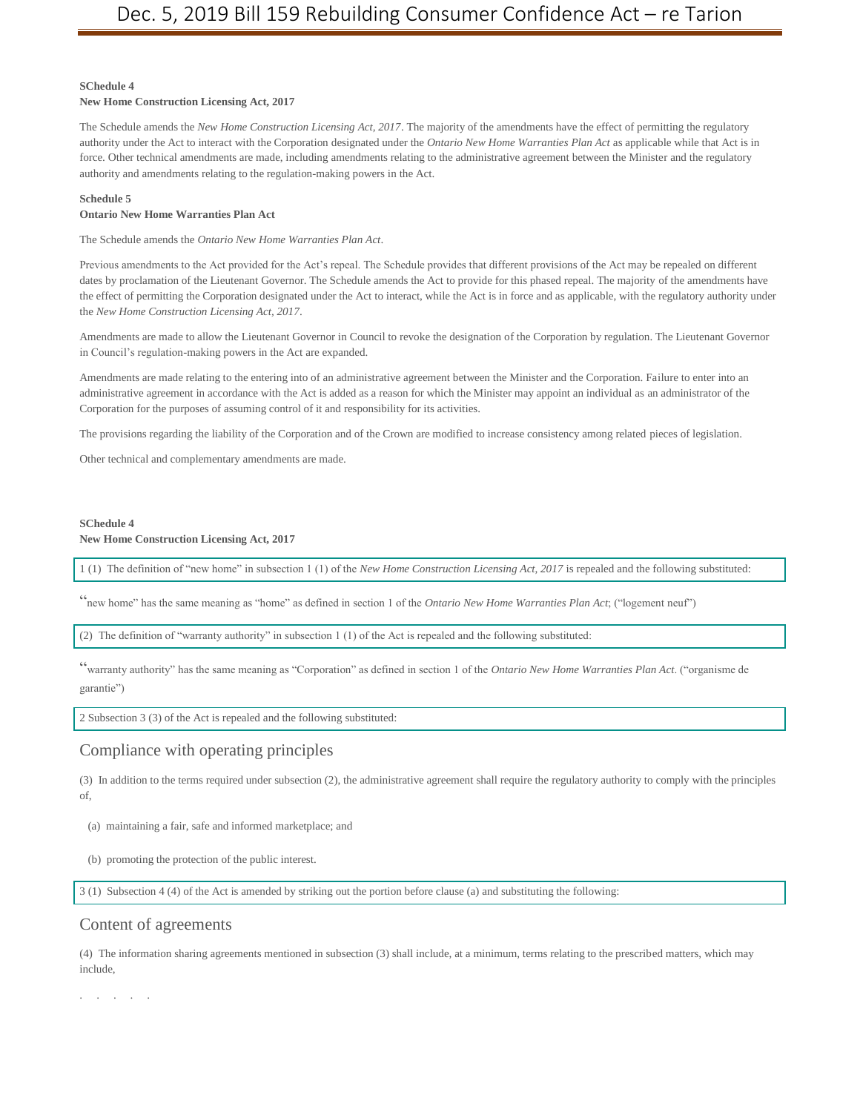#### **SChedule 4**

#### **New Home Construction Licensing Act, 2017**

The Schedule amends the *New Home Construction Licensing Act, 2017*. The majority of the amendments have the effect of permitting the regulatory authority under the Act to interact with the Corporation designated under the *Ontario New Home Warranties Plan Act* as applicable while that Act is in force. Other technical amendments are made, including amendments relating to the administrative agreement between the Minister and the regulatory authority and amendments relating to the regulation-making powers in the Act.

#### **Schedule 5**

#### **Ontario New Home Warranties Plan Act**

The Schedule amends the *Ontario New Home Warranties Plan Act*.

Previous amendments to the Act provided for the Act's repeal. The Schedule provides that different provisions of the Act may be repealed on different dates by proclamation of the Lieutenant Governor. The Schedule amends the Act to provide for this phased repeal. The majority of the amendments have the effect of permitting the Corporation designated under the Act to interact, while the Act is in force and as applicable, with the regulatory authority under the *New Home Construction Licensing Act, 2017*.

Amendments are made to allow the Lieutenant Governor in Council to revoke the designation of the Corporation by regulation. The Lieutenant Governor in Council's regulation-making powers in the Act are expanded.

Amendments are made relating to the entering into of an administrative agreement between the Minister and the Corporation. Failure to enter into an administrative agreement in accordance with the Act is added as a reason for which the Minister may appoint an individual as an administrator of the Corporation for the purposes of assuming control of it and responsibility for its activities.

The provisions regarding the liability of the Corporation and of the Crown are modified to increase consistency among related pieces of legislation.

Other technical and complementary amendments are made.

#### **SChedule 4 New Home Construction Licensing Act, 2017**

1 (1) The definition of "new home" in subsection 1 (1) of the *New Home Construction Licensing Act, 2017* is repealed and the following substituted:

"new home" has the same meaning as "home" as defined in section 1 of the *Ontario New Home Warranties Plan Act*; ("logement neuf")

(2) The definition of "warranty authority" in subsection 1 (1) of the Act is repealed and the following substituted:

"warranty authority" has the same meaning as "Corporation" as defined in section 1 of the *Ontario New Home Warranties Plan Act*. ("organisme de garantie")

2 Subsection 3 (3) of the Act is repealed and the following substituted:

## Compliance with operating principles

(3) In addition to the terms required under subsection (2), the administrative agreement shall require the regulatory authority to comply with the principles of,

(a) maintaining a fair, safe and informed marketplace; and

(b) promoting the protection of the public interest.

3 (1) Subsection 4 (4) of the Act is amended by striking out the portion before clause (a) and substituting the following:

#### Content of agreements

(4) The information sharing agreements mentioned in subsection (3) shall include, at a minimum, terms relating to the prescribed matters, which may include,

. . . . .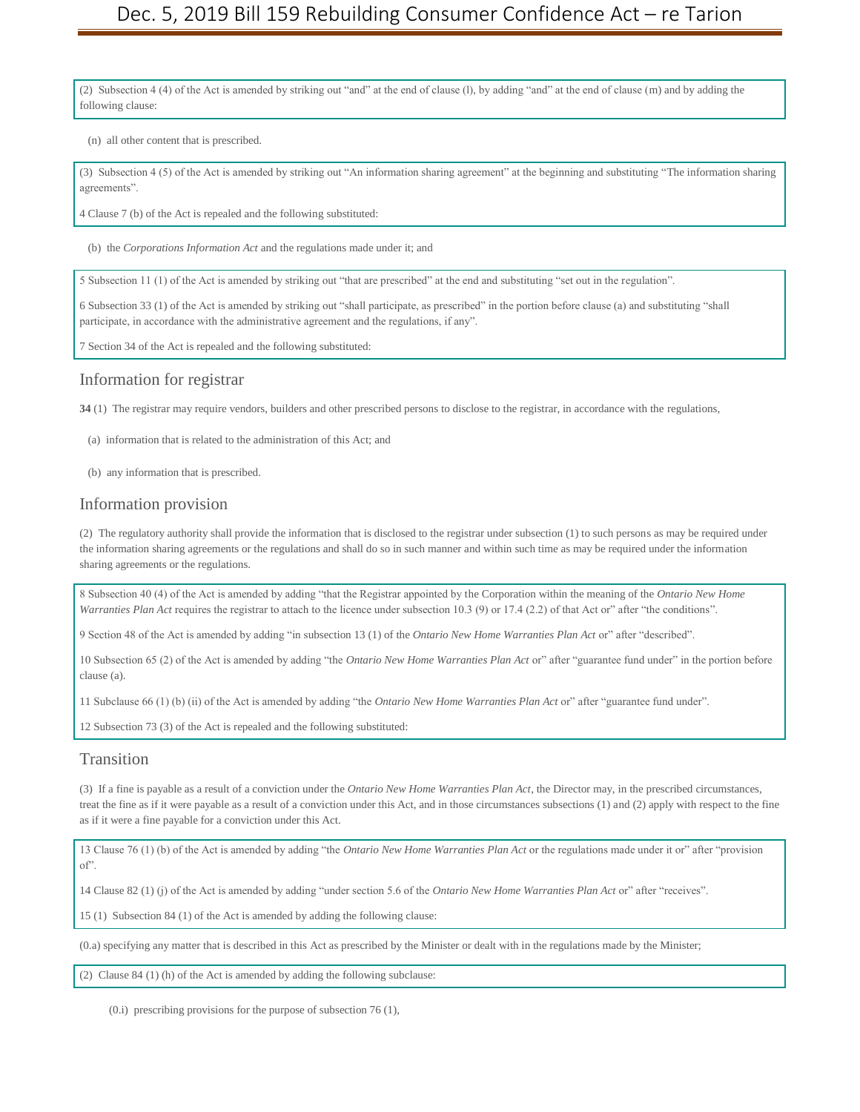(2) Subsection 4 (4) of the Act is amended by striking out "and" at the end of clause (l), by adding "and" at the end of clause (m) and by adding the following clause:

(n) all other content that is prescribed.

(3) Subsection 4 (5) of the Act is amended by striking out "An information sharing agreement" at the beginning and substituting "The information sharing agreements".

4 Clause 7 (b) of the Act is repealed and the following substituted:

(b) the *Corporations Information Act* and the regulations made under it; and

5 Subsection 11 (1) of the Act is amended by striking out "that are prescribed" at the end and substituting "set out in the regulation".

6 Subsection 33 (1) of the Act is amended by striking out "shall participate, as prescribed" in the portion before clause (a) and substituting "shall participate, in accordance with the administrative agreement and the regulations, if any".

7 Section 34 of the Act is repealed and the following substituted:

#### Information for registrar

**34** (1) The registrar may require vendors, builders and other prescribed persons to disclose to the registrar, in accordance with the regulations,

- (a) information that is related to the administration of this Act; and
- (b) any information that is prescribed.

#### Information provision

(2) The regulatory authority shall provide the information that is disclosed to the registrar under subsection (1) to such persons as may be required under the information sharing agreements or the regulations and shall do so in such manner and within such time as may be required under the information sharing agreements or the regulations.

8 Subsection 40 (4) of the Act is amended by adding "that the Registrar appointed by the Corporation within the meaning of the *Ontario New Home Warranties Plan Act* requires the registrar to attach to the licence under subsection 10.3 (9) or 17.4 (2.2) of that Act or" after "the conditions".

9 Section 48 of the Act is amended by adding "in subsection 13 (1) of the *Ontario New Home Warranties Plan Act* or" after "described".

10 Subsection 65 (2) of the Act is amended by adding "the *Ontario New Home Warranties Plan Act* or" after "guarantee fund under" in the portion before clause (a).

11 Subclause 66 (1) (b) (ii) of the Act is amended by adding "the *Ontario New Home Warranties Plan Act* or" after "guarantee fund under".

12 Subsection 73 (3) of the Act is repealed and the following substituted:

#### Transition

(3) If a fine is payable as a result of a conviction under the *Ontario New Home Warranties Plan Act*, the Director may, in the prescribed circumstances, treat the fine as if it were payable as a result of a conviction under this Act, and in those circumstances subsections (1) and (2) apply with respect to the fine as if it were a fine payable for a conviction under this Act.

13 Clause 76 (1) (b) of the Act is amended by adding "the *Ontario New Home Warranties Plan Act* or the regulations made under it or" after "provision of".

14 Clause 82 (1) (j) of the Act is amended by adding "under section 5.6 of the *Ontario New Home Warranties Plan Act* or" after "receives".

15 (1) Subsection 84 (1) of the Act is amended by adding the following clause:

(0.a) specifying any matter that is described in this Act as prescribed by the Minister or dealt with in the regulations made by the Minister;

(2) Clause 84 (1) (h) of the Act is amended by adding the following subclause:

(0.i) prescribing provisions for the purpose of subsection 76 (1),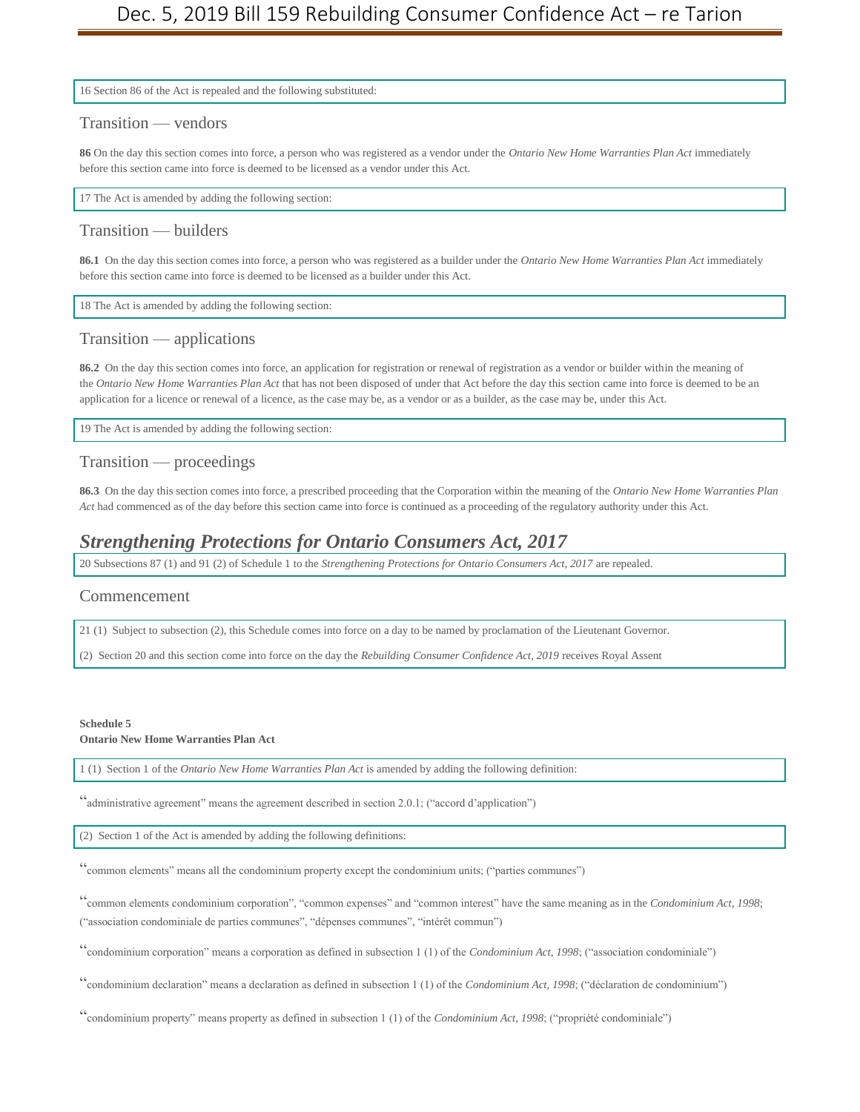16 Section 86 of the Act is repealed and the following substituted:

#### Transition — vendors

**86** On the day this section comes into force, a person who was registered as a vendor under the *Ontario New Home Warranties Plan Act* immediately before this section came into force is deemed to be licensed as a vendor under this Act.

17 The Act is amended by adding the following section:

### Transition — builders

**86.1** On the day this section comes into force, a person who was registered as a builder under the *Ontario New Home Warranties Plan Act* immediately before this section came into force is deemed to be licensed as a builder under this Act.

18 The Act is amended by adding the following section:

## Transition — applications

**86.2** On the day this section comes into force, an application for registration or renewal of registration as a vendor or builder within the meaning of the *Ontario New Home Warranties Plan Act* that has not been disposed of under that Act before the day this section came into force is deemed to be an application for a licence or renewal of a licence, as the case may be, as a vendor or as a builder, as the case may be, under this Act.

19 The Act is amended by adding the following section:

#### Transition — proceedings

**86.3** On the day this section comes into force, a prescribed proceeding that the Corporation within the meaning of the *Ontario New Home Warranties Plan Act* had commenced as of the day before this section came into force is continued as a proceeding of the regulatory authority under this Act.

## *Strengthening Protections for Ontario Consumers Act, 2017*

20 Subsections 87 (1) and 91 (2) of Schedule 1 to the *Strengthening Protections for Ontario Consumers Act, 2017* are repealed.

#### Commencement

21 (1) Subject to subsection (2), this Schedule comes into force on a day to be named by proclamation of the Lieutenant Governor.

(2) Section 20 and this section come into force on the day the *Rebuilding Consumer Confidence Act, 2019* receives Royal Assent

#### **Schedule 5**

**Ontario New Home Warranties Plan Act**

1 (1) Section 1 of the *Ontario New Home Warranties Plan Act* is amended by adding the following definition:

"administrative agreement" means the agreement described in section 2.0.1; ("accord d'application")

(2) Section 1 of the Act is amended by adding the following definitions:

"common elements" means all the condominium property except the condominium units; ("parties communes")

"common elements condominium corporation", "common expenses" and "common interest" have the same meaning as in the *Condominium Act, 1998*; ("association condominiale de parties communes", "dépenses communes", "intérêt commun")

"condominium corporation" means a corporation as defined in subsection 1 (1) of the *Condominium Act, 1998*; ("association condominiale")

"condominium declaration" means a declaration as defined in subsection 1 (1) of the *Condominium Act, 1998*; ("déclaration de condominium")

"condominium property" means property as defined in subsection 1 (1) of the *Condominium Act, 1998*; ("propriété condominiale")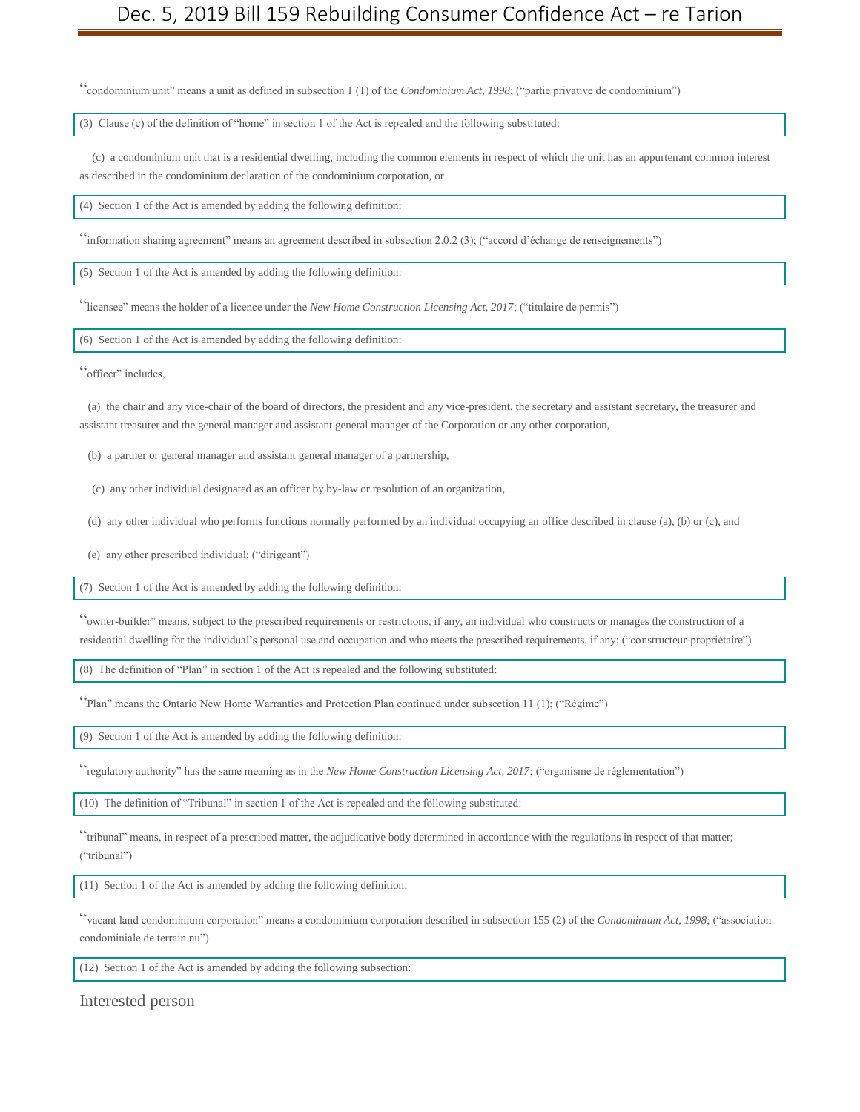"condominium unit" means a unit as defined in subsection 1 (1) of the *Condominium Act, 1998*; ("partie privative de condominium")

(3) Clause (c) of the definition of "home" in section 1 of the Act is repealed and the following substituted:

(c) a condominium unit that is a residential dwelling, including the common elements in respect of which the unit has an appurtenant common interest as described in the condominium declaration of the condominium corporation, or

(4) Section 1 of the Act is amended by adding the following definition:

"information sharing agreement" means an agreement described in subsection 2.0.2 (3); ("accord d'échange de renseignements")

(5) Section 1 of the Act is amended by adding the following definition:

"licensee" means the holder of a licence under the *New Home Construction Licensing Act, 2017*; ("titulaire de permis")

(6) Section 1 of the Act is amended by adding the following definition:

"officer" includes,

(a) the chair and any vice-chair of the board of directors, the president and any vice-president, the secretary and assistant secretary, the treasurer and assistant treasurer and the general manager and assistant general manager of the Corporation or any other corporation,

(b) a partner or general manager and assistant general manager of a partnership,

(c) any other individual designated as an officer by by-law or resolution of an organization,

(d) any other individual who performs functions normally performed by an individual occupying an office described in clause (a), (b) or (c), and

(e) any other prescribed individual; ("dirigeant")

(7) Section 1 of the Act is amended by adding the following definition:

"owner-builder" means, subject to the prescribed requirements or restrictions, if any, an individual who constructs or manages the construction of a residential dwelling for the individual's personal use and occupation and who meets the prescribed requirements, if any; ("constructeur-propriétaire")

(8) The definition of "Plan" in section 1 of the Act is repealed and the following substituted:

"Plan" means the Ontario New Home Warranties and Protection Plan continued under subsection 11 (1); ("Régime")

(9) Section 1 of the Act is amended by adding the following definition:

"regulatory authority" has the same meaning as in the *New Home Construction Licensing Act, 2017*; ("organisme de réglementation")

(10) The definition of "Tribunal" in section 1 of the Act is repealed and the following substituted:

"tribunal" means, in respect of a prescribed matter, the adjudicative body determined in accordance with the regulations in respect of that matter; ("tribunal")

(11) Section 1 of the Act is amended by adding the following definition:

"vacant land condominium corporation" means a condominium corporation described in subsection 155 (2) of the *Condominium Act, 1998*; ("association condominiale de terrain nu")

(12) Section 1 of the Act is amended by adding the following subsection:

Interested person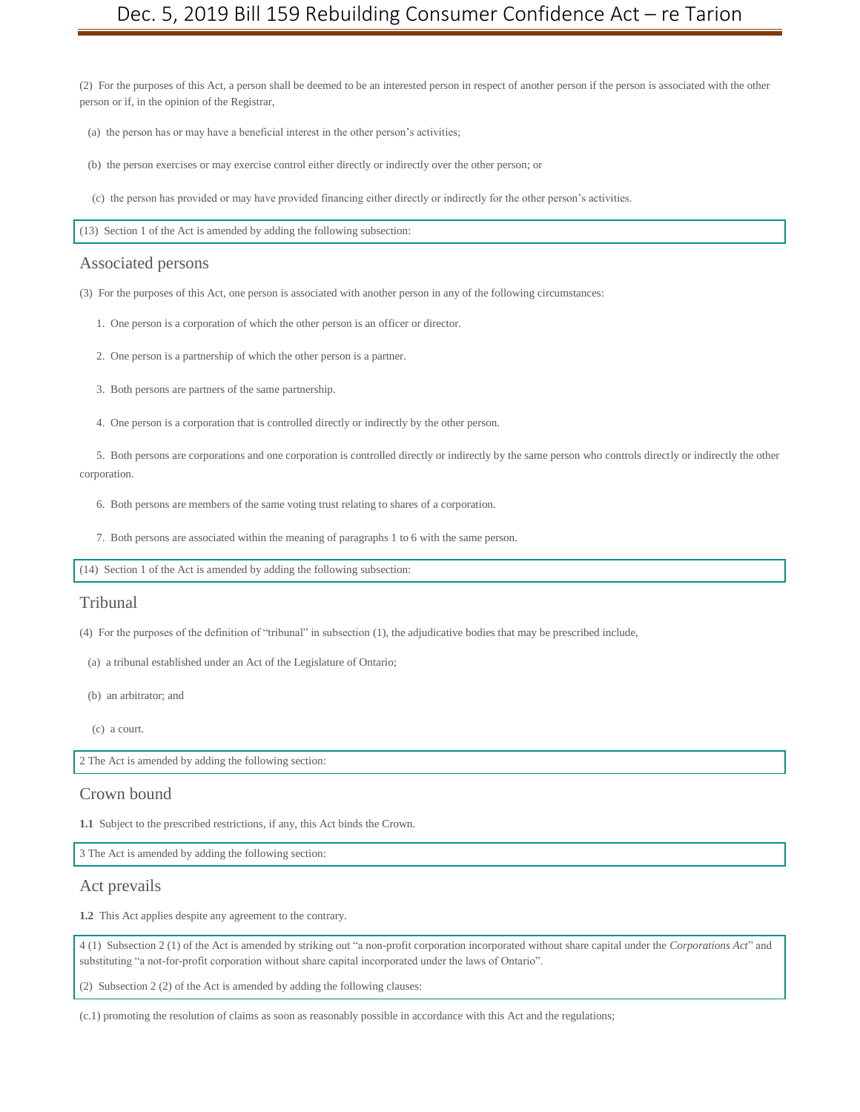(2) For the purposes of this Act, a person shall be deemed to be an interested person in respect of another person if the person is associated with the other person or if, in the opinion of the Registrar,

- (a) the person has or may have a beneficial interest in the other person's activities;
- (b) the person exercises or may exercise control either directly or indirectly over the other person; or
- (c) the person has provided or may have provided financing either directly or indirectly for the other person's activities.

(13) Section 1 of the Act is amended by adding the following subsection:

#### Associated persons

(3) For the purposes of this Act, one person is associated with another person in any of the following circumstances:

- 1. One person is a corporation of which the other person is an officer or director.
- 2. One person is a partnership of which the other person is a partner.
- 3. Both persons are partners of the same partnership.
- 4. One person is a corporation that is controlled directly or indirectly by the other person.

5. Both persons are corporations and one corporation is controlled directly or indirectly by the same person who controls directly or indirectly the other corporation.

- 6. Both persons are members of the same voting trust relating to shares of a corporation.
- 7. Both persons are associated within the meaning of paragraphs 1 to 6 with the same person.

(14) Section 1 of the Act is amended by adding the following subsection:

#### Tribunal

- (4) For the purposes of the definition of "tribunal" in subsection (1), the adjudicative bodies that may be prescribed include,
- (a) a tribunal established under an Act of the Legislature of Ontario;
- (b) an arbitrator; and
- (c) a court.

2 The Act is amended by adding the following section:

#### Crown bound

**1.1** Subject to the prescribed restrictions, if any, this Act binds the Crown.

3 The Act is amended by adding the following section:

#### Act prevails

**1.2** This Act applies despite any agreement to the contrary.

4 (1) Subsection 2 (1) of the Act is amended by striking out "a non-profit corporation incorporated without share capital under the *Corporations Act*" and substituting "a not-for-profit corporation without share capital incorporated under the laws of Ontario".

(2) Subsection 2 (2) of the Act is amended by adding the following clauses:

(c.1) promoting the resolution of claims as soon as reasonably possible in accordance with this Act and the regulations;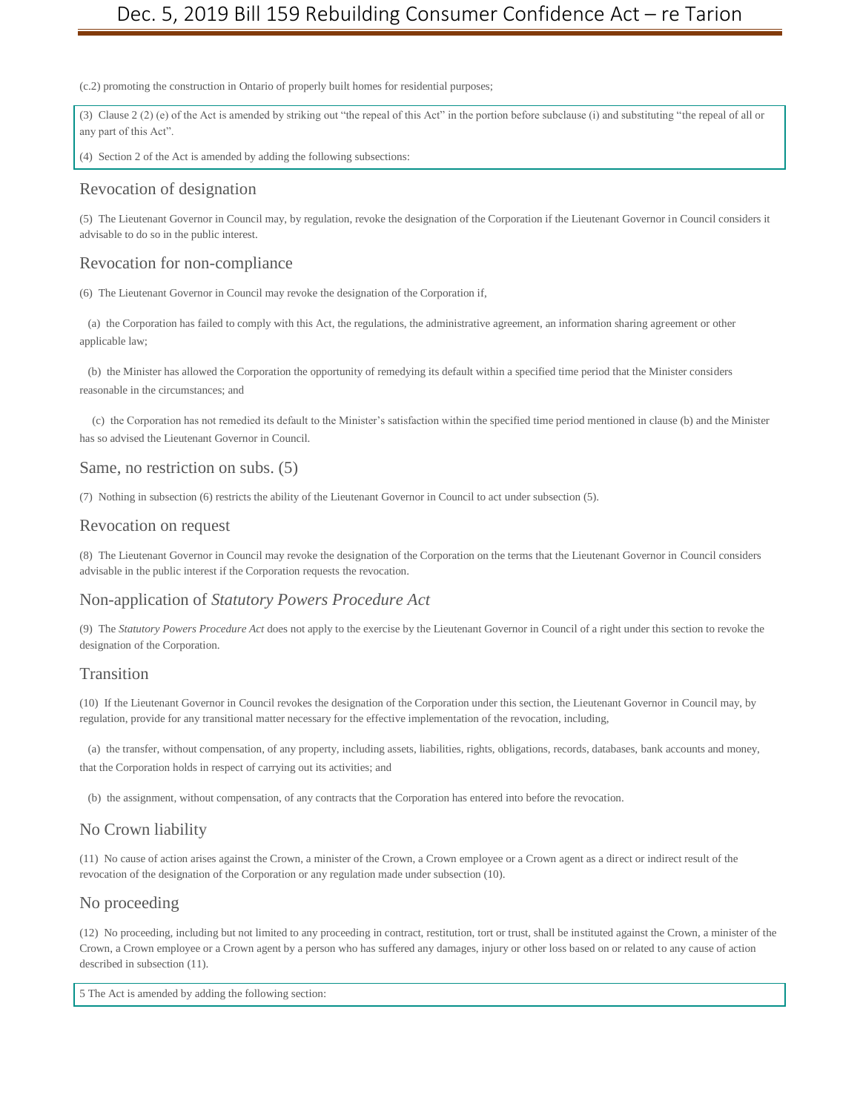(c.2) promoting the construction in Ontario of properly built homes for residential purposes;

(3) Clause 2 (2) (e) of the Act is amended by striking out "the repeal of this Act" in the portion before subclause (i) and substituting "the repeal of all or any part of this Act".

(4) Section 2 of the Act is amended by adding the following subsections:

### Revocation of designation

(5) The Lieutenant Governor in Council may, by regulation, revoke the designation of the Corporation if the Lieutenant Governor in Council considers it advisable to do so in the public interest.

#### Revocation for non-compliance

(6) The Lieutenant Governor in Council may revoke the designation of the Corporation if,

(a) the Corporation has failed to comply with this Act, the regulations, the administrative agreement, an information sharing agreement or other applicable law;

(b) the Minister has allowed the Corporation the opportunity of remedying its default within a specified time period that the Minister considers reasonable in the circumstances; and

(c) the Corporation has not remedied its default to the Minister's satisfaction within the specified time period mentioned in clause (b) and the Minister has so advised the Lieutenant Governor in Council.

#### Same, no restriction on subs. (5)

(7) Nothing in subsection (6) restricts the ability of the Lieutenant Governor in Council to act under subsection (5).

#### Revocation on request

(8) The Lieutenant Governor in Council may revoke the designation of the Corporation on the terms that the Lieutenant Governor in Council considers advisable in the public interest if the Corporation requests the revocation.

#### Non-application of *Statutory Powers Procedure Act*

(9) The *Statutory Powers Procedure Act* does not apply to the exercise by the Lieutenant Governor in Council of a right under this section to revoke the designation of the Corporation.

#### **Transition**

(10) If the Lieutenant Governor in Council revokes the designation of the Corporation under this section, the Lieutenant Governor in Council may, by regulation, provide for any transitional matter necessary for the effective implementation of the revocation, including,

(a) the transfer, without compensation, of any property, including assets, liabilities, rights, obligations, records, databases, bank accounts and money, that the Corporation holds in respect of carrying out its activities; and

(b) the assignment, without compensation, of any contracts that the Corporation has entered into before the revocation.

#### No Crown liability

(11) No cause of action arises against the Crown, a minister of the Crown, a Crown employee or a Crown agent as a direct or indirect result of the revocation of the designation of the Corporation or any regulation made under subsection (10).

#### No proceeding

(12) No proceeding, including but not limited to any proceeding in contract, restitution, tort or trust, shall be instituted against the Crown, a minister of the Crown, a Crown employee or a Crown agent by a person who has suffered any damages, injury or other loss based on or related to any cause of action described in subsection (11).

5 The Act is amended by adding the following section: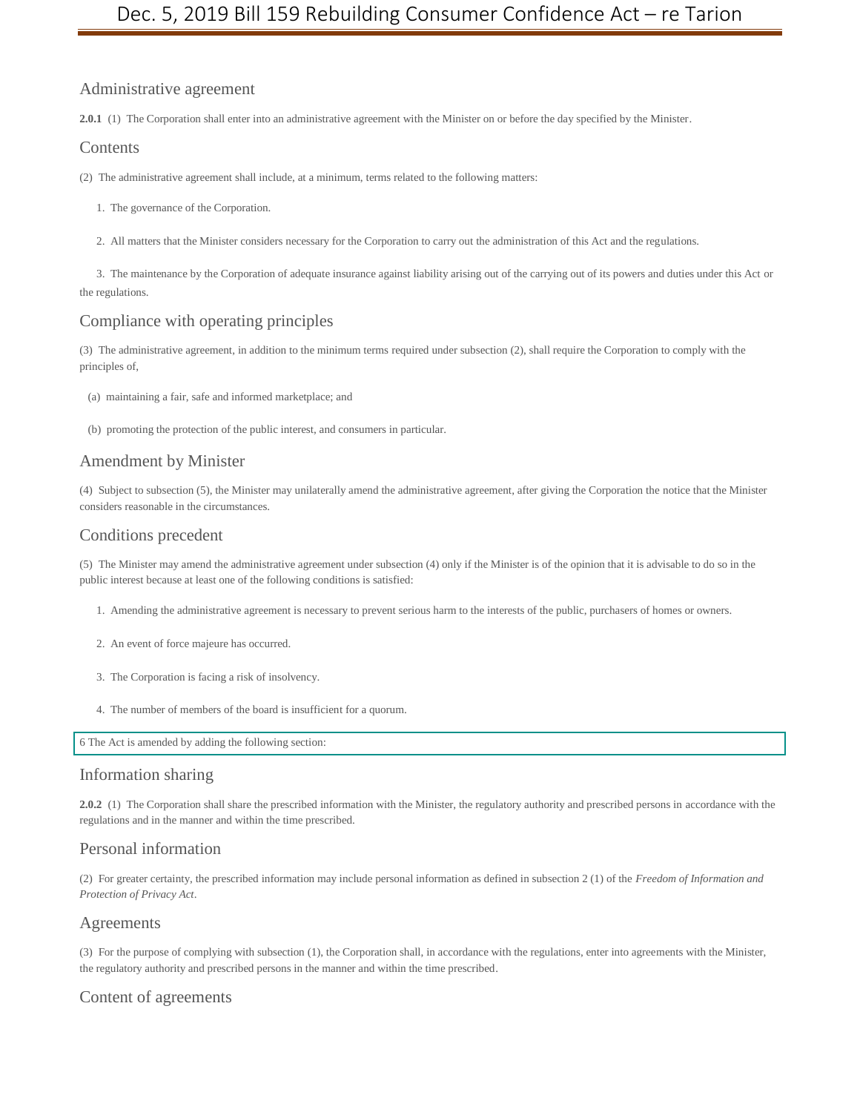## Administrative agreement

**2.0.1** (1) The Corporation shall enter into an administrative agreement with the Minister on or before the day specified by the Minister.

### Contents

- (2) The administrative agreement shall include, at a minimum, terms related to the following matters:
	- 1. The governance of the Corporation.
	- 2. All matters that the Minister considers necessary for the Corporation to carry out the administration of this Act and the regulations.

3. The maintenance by the Corporation of adequate insurance against liability arising out of the carrying out of its powers and duties under this Act or the regulations.

## Compliance with operating principles

(3) The administrative agreement, in addition to the minimum terms required under subsection (2), shall require the Corporation to comply with the principles of,

- (a) maintaining a fair, safe and informed marketplace; and
- (b) promoting the protection of the public interest, and consumers in particular.

#### Amendment by Minister

(4) Subject to subsection (5), the Minister may unilaterally amend the administrative agreement, after giving the Corporation the notice that the Minister considers reasonable in the circumstances.

## Conditions precedent

(5) The Minister may amend the administrative agreement under subsection (4) only if the Minister is of the opinion that it is advisable to do so in the public interest because at least one of the following conditions is satisfied:

- 1. Amending the administrative agreement is necessary to prevent serious harm to the interests of the public, purchasers of homes or owners.
- 2. An event of force majeure has occurred.
- 3. The Corporation is facing a risk of insolvency.
- 4. The number of members of the board is insufficient for a quorum.

6 The Act is amended by adding the following section:

#### Information sharing

**2.0.2** (1) The Corporation shall share the prescribed information with the Minister, the regulatory authority and prescribed persons in accordance with the regulations and in the manner and within the time prescribed.

#### Personal information

(2) For greater certainty, the prescribed information may include personal information as defined in subsection 2 (1) of the *Freedom of Information and Protection of Privacy Act*.

#### Agreements

(3) For the purpose of complying with subsection (1), the Corporation shall, in accordance with the regulations, enter into agreements with the Minister, the regulatory authority and prescribed persons in the manner and within the time prescribed.

#### Content of agreements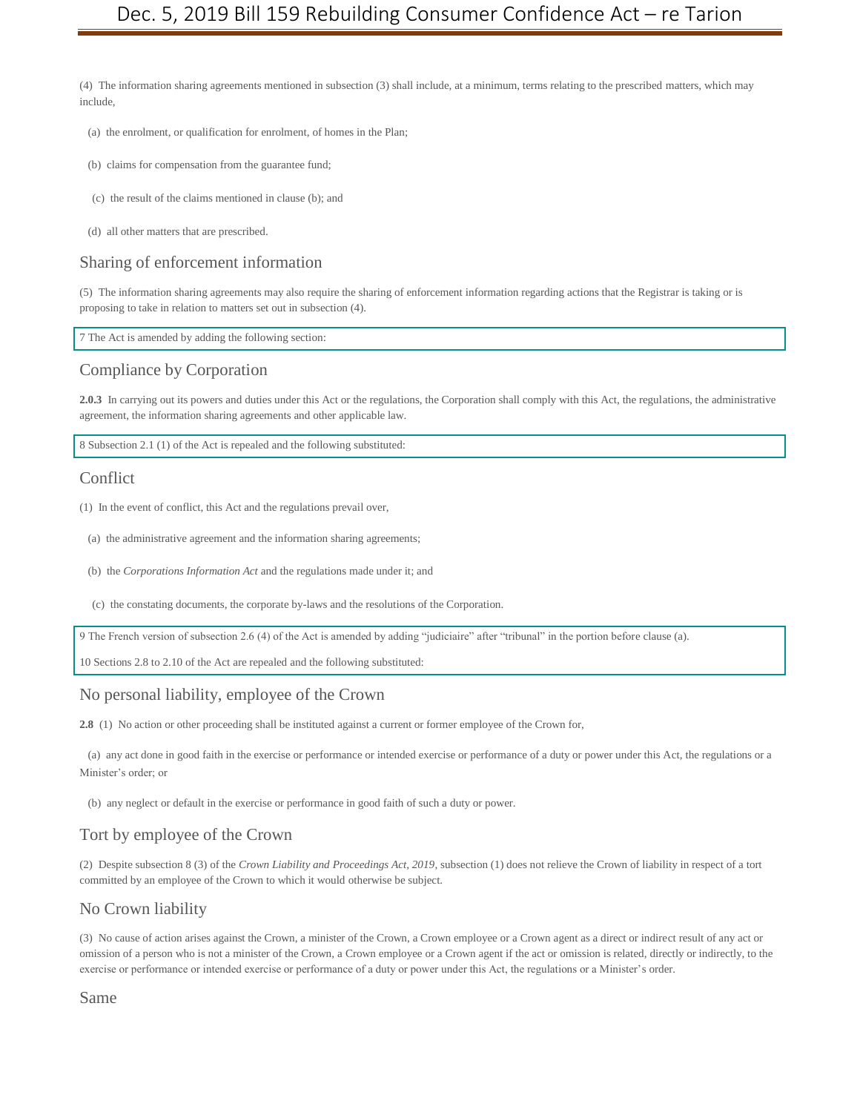(4) The information sharing agreements mentioned in subsection (3) shall include, at a minimum, terms relating to the prescribed matters, which may include,

(a) the enrolment, or qualification for enrolment, of homes in the Plan;

- (b) claims for compensation from the guarantee fund;
- (c) the result of the claims mentioned in clause (b); and
- (d) all other matters that are prescribed.

#### Sharing of enforcement information

(5) The information sharing agreements may also require the sharing of enforcement information regarding actions that the Registrar is taking or is proposing to take in relation to matters set out in subsection (4).

7 The Act is amended by adding the following section:

#### Compliance by Corporation

**2.0.3** In carrying out its powers and duties under this Act or the regulations, the Corporation shall comply with this Act, the regulations, the administrative agreement, the information sharing agreements and other applicable law.

8 Subsection 2.1 (1) of the Act is repealed and the following substituted:

#### **Conflict**

(1) In the event of conflict, this Act and the regulations prevail over,

- (a) the administrative agreement and the information sharing agreements;
- (b) the *Corporations Information Act* and the regulations made under it; and
- (c) the constating documents, the corporate by-laws and the resolutions of the Corporation.

9 The French version of subsection 2.6 (4) of the Act is amended by adding "judiciaire" after "tribunal" in the portion before clause (a).

10 Sections 2.8 to 2.10 of the Act are repealed and the following substituted:

## No personal liability, employee of the Crown

**2.8** (1) No action or other proceeding shall be instituted against a current or former employee of the Crown for,

(a) any act done in good faith in the exercise or performance or intended exercise or performance of a duty or power under this Act, the regulations or a Minister's order; or

(b) any neglect or default in the exercise or performance in good faith of such a duty or power.

### Tort by employee of the Crown

(2) Despite subsection 8 (3) of the *Crown Liability and Proceedings Act, 2019*, subsection (1) does not relieve the Crown of liability in respect of a tort committed by an employee of the Crown to which it would otherwise be subject.

#### No Crown liability

(3) No cause of action arises against the Crown, a minister of the Crown, a Crown employee or a Crown agent as a direct or indirect result of any act or omission of a person who is not a minister of the Crown, a Crown employee or a Crown agent if the act or omission is related, directly or indirectly, to the exercise or performance or intended exercise or performance of a duty or power under this Act, the regulations or a Minister's order.

Same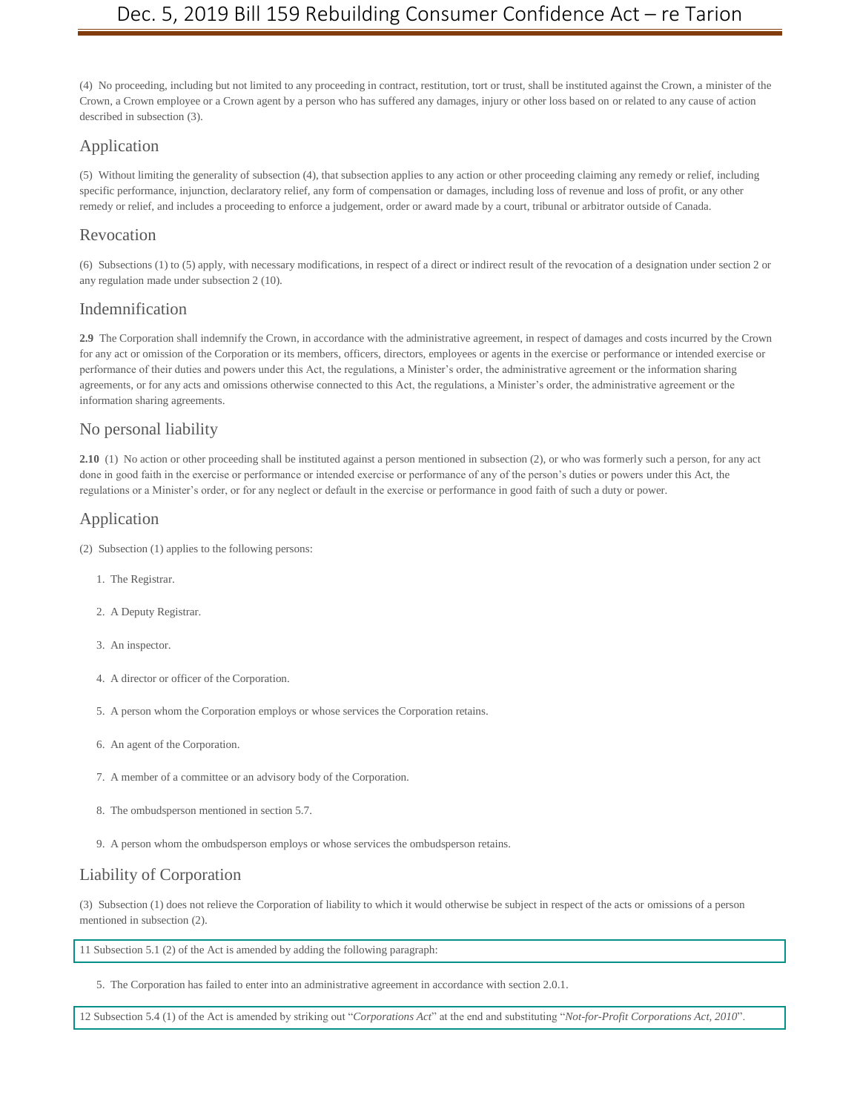(4) No proceeding, including but not limited to any proceeding in contract, restitution, tort or trust, shall be instituted against the Crown, a minister of the Crown, a Crown employee or a Crown agent by a person who has suffered any damages, injury or other loss based on or related to any cause of action described in subsection (3).

## Application

(5) Without limiting the generality of subsection (4), that subsection applies to any action or other proceeding claiming any remedy or relief, including specific performance, injunction, declaratory relief, any form of compensation or damages, including loss of revenue and loss of profit, or any other remedy or relief, and includes a proceeding to enforce a judgement, order or award made by a court, tribunal or arbitrator outside of Canada.

## Revocation

(6) Subsections (1) to (5) apply, with necessary modifications, in respect of a direct or indirect result of the revocation of a designation under section 2 or any regulation made under subsection 2 (10).

## Indemnification

**2.9** The Corporation shall indemnify the Crown, in accordance with the administrative agreement, in respect of damages and costs incurred by the Crown for any act or omission of the Corporation or its members, officers, directors, employees or agents in the exercise or performance or intended exercise or performance of their duties and powers under this Act, the regulations, a Minister's order, the administrative agreement or the information sharing agreements, or for any acts and omissions otherwise connected to this Act, the regulations, a Minister's order, the administrative agreement or the information sharing agreements.

## No personal liability

**2.10** (1) No action or other proceeding shall be instituted against a person mentioned in subsection (2), or who was formerly such a person, for any act done in good faith in the exercise or performance or intended exercise or performance of any of the person's duties or powers under this Act, the regulations or a Minister's order, or for any neglect or default in the exercise or performance in good faith of such a duty or power.

## Application

- (2) Subsection (1) applies to the following persons:
	- 1. The Registrar.
	- 2. A Deputy Registrar.
	- 3. An inspector.
	- 4. A director or officer of the Corporation.
	- 5. A person whom the Corporation employs or whose services the Corporation retains.
	- 6. An agent of the Corporation.
	- 7. A member of a committee or an advisory body of the Corporation.
	- 8. The ombudsperson mentioned in section 5.7.
	- 9. A person whom the ombudsperson employs or whose services the ombudsperson retains.

## Liability of Corporation

(3) Subsection (1) does not relieve the Corporation of liability to which it would otherwise be subject in respect of the acts or omissions of a person mentioned in subsection (2).

11 Subsection 5.1 (2) of the Act is amended by adding the following paragraph:

5. The Corporation has failed to enter into an administrative agreement in accordance with section 2.0.1.

12 Subsection 5.4 (1) of the Act is amended by striking out "*Corporations Act*" at the end and substituting "*Not-for-Profit Corporations Act, 2010*".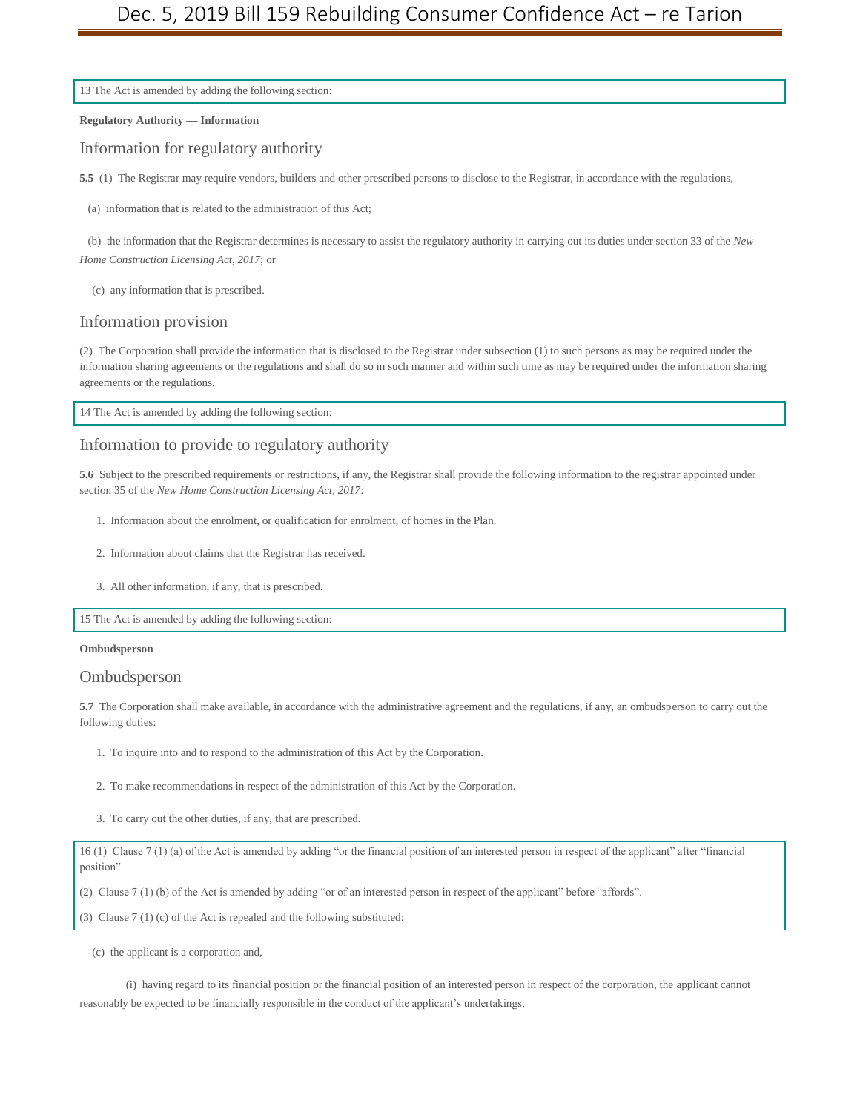13 The Act is amended by adding the following section:

**Regulatory Authority — Information**

Information for regulatory authority

**5.5** (1) The Registrar may require vendors, builders and other prescribed persons to disclose to the Registrar, in accordance with the regulations,

(a) information that is related to the administration of this Act;

(b) the information that the Registrar determines is necessary to assist the regulatory authority in carrying out its duties under section 33 of the *New Home Construction Licensing Act, 2017*; or

(c) any information that is prescribed.

#### Information provision

(2) The Corporation shall provide the information that is disclosed to the Registrar under subsection (1) to such persons as may be required under the information sharing agreements or the regulations and shall do so in such manner and within such time as may be required under the information sharing agreements or the regulations.

14 The Act is amended by adding the following section:

## Information to provide to regulatory authority

**5.6** Subject to the prescribed requirements or restrictions, if any, the Registrar shall provide the following information to the registrar appointed under section 35 of the *New Home Construction Licensing Act, 2017*:

- 1. Information about the enrolment, or qualification for enrolment, of homes in the Plan.
- 2. Information about claims that the Registrar has received.
- 3. All other information, if any, that is prescribed.

15 The Act is amended by adding the following section:

#### **Ombudsperson**

#### Ombudsperson

**5.7** The Corporation shall make available, in accordance with the administrative agreement and the regulations, if any, an ombudsperson to carry out the following duties:

- 1. To inquire into and to respond to the administration of this Act by the Corporation.
- 2. To make recommendations in respect of the administration of this Act by the Corporation.
- 3. To carry out the other duties, if any, that are prescribed.

16 (1) Clause 7 (1) (a) of the Act is amended by adding "or the financial position of an interested person in respect of the applicant" after "financial position".

(2) Clause 7 (1) (b) of the Act is amended by adding "or of an interested person in respect of the applicant" before "affords".

(3) Clause 7 (1) (c) of the Act is repealed and the following substituted:

(c) the applicant is a corporation and,

(i) having regard to its financial position or the financial position of an interested person in respect of the corporation, the applicant cannot reasonably be expected to be financially responsible in the conduct of the applicant's undertakings,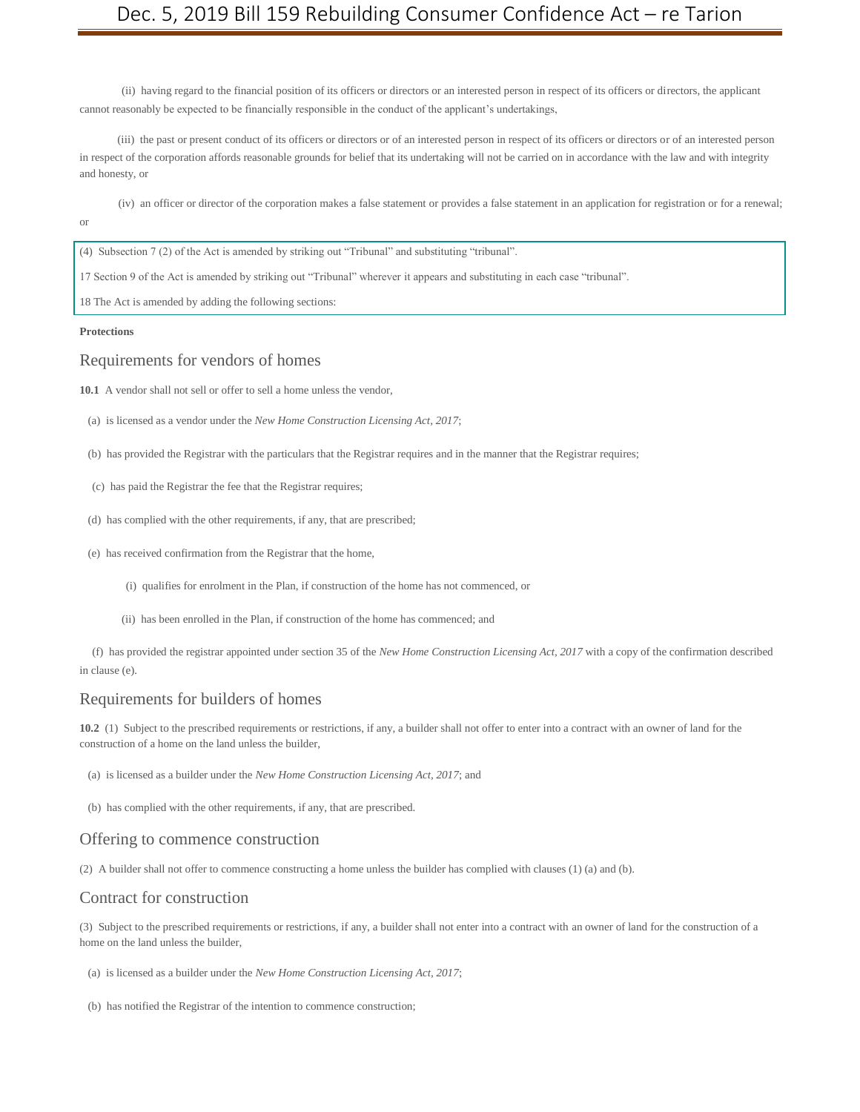(ii) having regard to the financial position of its officers or directors or an interested person in respect of its officers or directors, the applicant cannot reasonably be expected to be financially responsible in the conduct of the applicant's undertakings,

(iii) the past or present conduct of its officers or directors or of an interested person in respect of its officers or directors or of an interested person in respect of the corporation affords reasonable grounds for belief that its undertaking will not be carried on in accordance with the law and with integrity and honesty, or

(iv) an officer or director of the corporation makes a false statement or provides a false statement in an application for registration or for a renewal; or

(4) Subsection 7 (2) of the Act is amended by striking out "Tribunal" and substituting "tribunal".

17 Section 9 of the Act is amended by striking out "Tribunal" wherever it appears and substituting in each case "tribunal".

18 The Act is amended by adding the following sections:

#### **Protections**

#### Requirements for vendors of homes

**10.1** A vendor shall not sell or offer to sell a home unless the vendor,

- (a) is licensed as a vendor under the *New Home Construction Licensing Act, 2017*;
- (b) has provided the Registrar with the particulars that the Registrar requires and in the manner that the Registrar requires;
- (c) has paid the Registrar the fee that the Registrar requires;
- (d) has complied with the other requirements, if any, that are prescribed;
- (e) has received confirmation from the Registrar that the home,
	- (i) qualifies for enrolment in the Plan, if construction of the home has not commenced, or
	- (ii) has been enrolled in the Plan, if construction of the home has commenced; and

(f) has provided the registrar appointed under section 35 of the *New Home Construction Licensing Act, 2017* with a copy of the confirmation described in clause (e).

#### Requirements for builders of homes

**10.2** (1) Subject to the prescribed requirements or restrictions, if any, a builder shall not offer to enter into a contract with an owner of land for the construction of a home on the land unless the builder,

(a) is licensed as a builder under the *New Home Construction Licensing Act, 2017*; and

(b) has complied with the other requirements, if any, that are prescribed.

#### Offering to commence construction

(2) A builder shall not offer to commence constructing a home unless the builder has complied with clauses (1) (a) and (b).

#### Contract for construction

(3) Subject to the prescribed requirements or restrictions, if any, a builder shall not enter into a contract with an owner of land for the construction of a home on the land unless the builder,

(a) is licensed as a builder under the *New Home Construction Licensing Act, 2017*;

(b) has notified the Registrar of the intention to commence construction;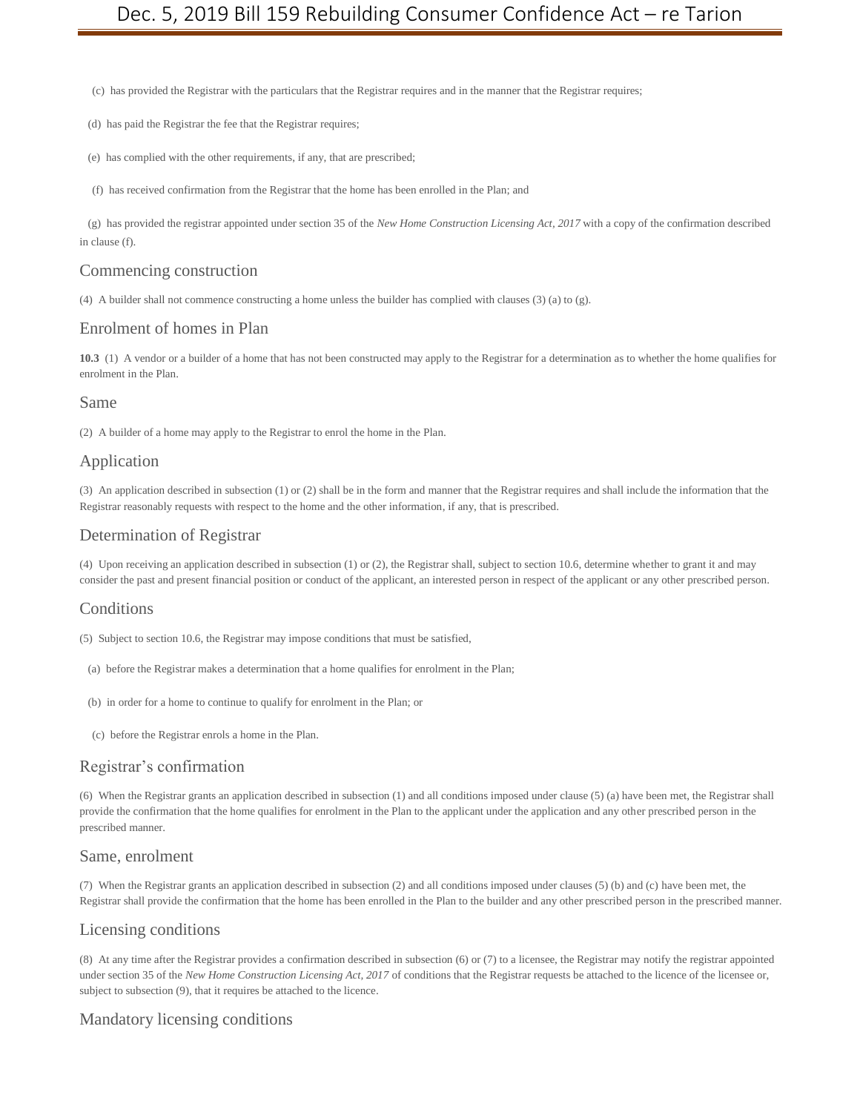(c) has provided the Registrar with the particulars that the Registrar requires and in the manner that the Registrar requires;

- (d) has paid the Registrar the fee that the Registrar requires;
- (e) has complied with the other requirements, if any, that are prescribed;
- (f) has received confirmation from the Registrar that the home has been enrolled in the Plan; and

(g) has provided the registrar appointed under section 35 of the *New Home Construction Licensing Act, 2017* with a copy of the confirmation described in clause (f).

#### Commencing construction

(4) A builder shall not commence constructing a home unless the builder has complied with clauses (3) (a) to (g).

#### Enrolment of homes in Plan

**10.3** (1) A vendor or a builder of a home that has not been constructed may apply to the Registrar for a determination as to whether the home qualifies for enrolment in the Plan.

#### Same

(2) A builder of a home may apply to the Registrar to enrol the home in the Plan.

#### Application

(3) An application described in subsection (1) or (2) shall be in the form and manner that the Registrar requires and shall include the information that the Registrar reasonably requests with respect to the home and the other information, if any, that is prescribed.

#### Determination of Registrar

(4) Upon receiving an application described in subsection (1) or (2), the Registrar shall, subject to section 10.6, determine whether to grant it and may consider the past and present financial position or conduct of the applicant, an interested person in respect of the applicant or any other prescribed person.

#### **Conditions**

(5) Subject to section 10.6, the Registrar may impose conditions that must be satisfied,

- (a) before the Registrar makes a determination that a home qualifies for enrolment in the Plan;
- (b) in order for a home to continue to qualify for enrolment in the Plan; or
- (c) before the Registrar enrols a home in the Plan.

#### Registrar's confirmation

(6) When the Registrar grants an application described in subsection (1) and all conditions imposed under clause (5) (a) have been met, the Registrar shall provide the confirmation that the home qualifies for enrolment in the Plan to the applicant under the application and any other prescribed person in the prescribed manner.

#### Same, enrolment

(7) When the Registrar grants an application described in subsection (2) and all conditions imposed under clauses (5) (b) and (c) have been met, the Registrar shall provide the confirmation that the home has been enrolled in the Plan to the builder and any other prescribed person in the prescribed manner.

## Licensing conditions

(8) At any time after the Registrar provides a confirmation described in subsection (6) or (7) to a licensee, the Registrar may notify the registrar appointed under section 35 of the *New Home Construction Licensing Act, 2017* of conditions that the Registrar requests be attached to the licence of the licensee or, subject to subsection (9), that it requires be attached to the licence.

## Mandatory licensing conditions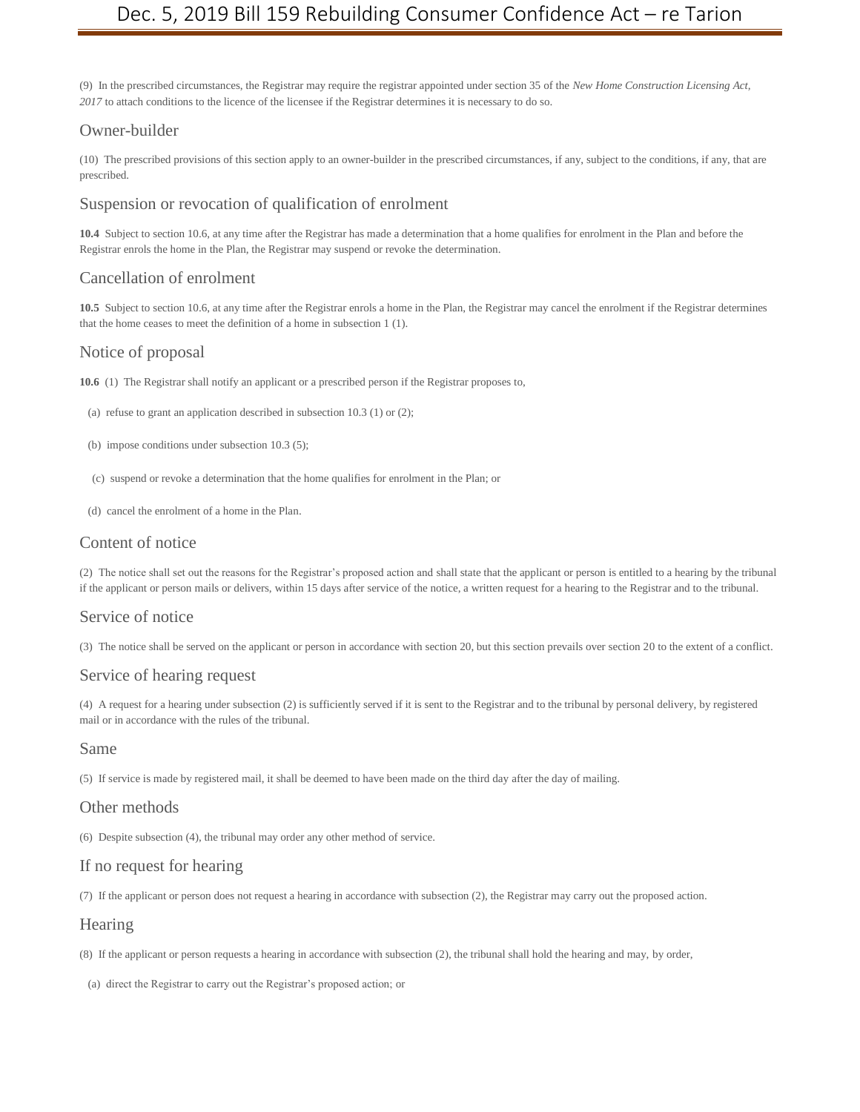(9) In the prescribed circumstances, the Registrar may require the registrar appointed under section 35 of the *New Home Construction Licensing Act, 2017* to attach conditions to the licence of the licensee if the Registrar determines it is necessary to do so.

### Owner-builder

(10) The prescribed provisions of this section apply to an owner-builder in the prescribed circumstances, if any, subject to the conditions, if any, that are prescribed.

## Suspension or revocation of qualification of enrolment

**10.4** Subject to section 10.6, at any time after the Registrar has made a determination that a home qualifies for enrolment in the Plan and before the Registrar enrols the home in the Plan, the Registrar may suspend or revoke the determination.

## Cancellation of enrolment

**10.5** Subject to section 10.6, at any time after the Registrar enrols a home in the Plan, the Registrar may cancel the enrolment if the Registrar determines that the home ceases to meet the definition of a home in subsection 1 (1).

## Notice of proposal

**10.6** (1) The Registrar shall notify an applicant or a prescribed person if the Registrar proposes to,

- (a) refuse to grant an application described in subsection 10.3 (1) or (2);
- (b) impose conditions under subsection 10.3 (5);
- (c) suspend or revoke a determination that the home qualifies for enrolment in the Plan; or
- (d) cancel the enrolment of a home in the Plan.

## Content of notice

(2) The notice shall set out the reasons for the Registrar's proposed action and shall state that the applicant or person is entitled to a hearing by the tribunal if the applicant or person mails or delivers, within 15 days after service of the notice, a written request for a hearing to the Registrar and to the tribunal.

#### Service of notice

(3) The notice shall be served on the applicant or person in accordance with section 20, but this section prevails over section 20 to the extent of a conflict.

## Service of hearing request

(4) A request for a hearing under subsection (2) is sufficiently served if it is sent to the Registrar and to the tribunal by personal delivery, by registered mail or in accordance with the rules of the tribunal.

#### Same

(5) If service is made by registered mail, it shall be deemed to have been made on the third day after the day of mailing.

#### Other methods

(6) Despite subsection (4), the tribunal may order any other method of service.

#### If no request for hearing

(7) If the applicant or person does not request a hearing in accordance with subsection (2), the Registrar may carry out the proposed action.

#### **Hearing**

- (8) If the applicant or person requests a hearing in accordance with subsection (2), the tribunal shall hold the hearing and may, by order,
- (a) direct the Registrar to carry out the Registrar's proposed action; or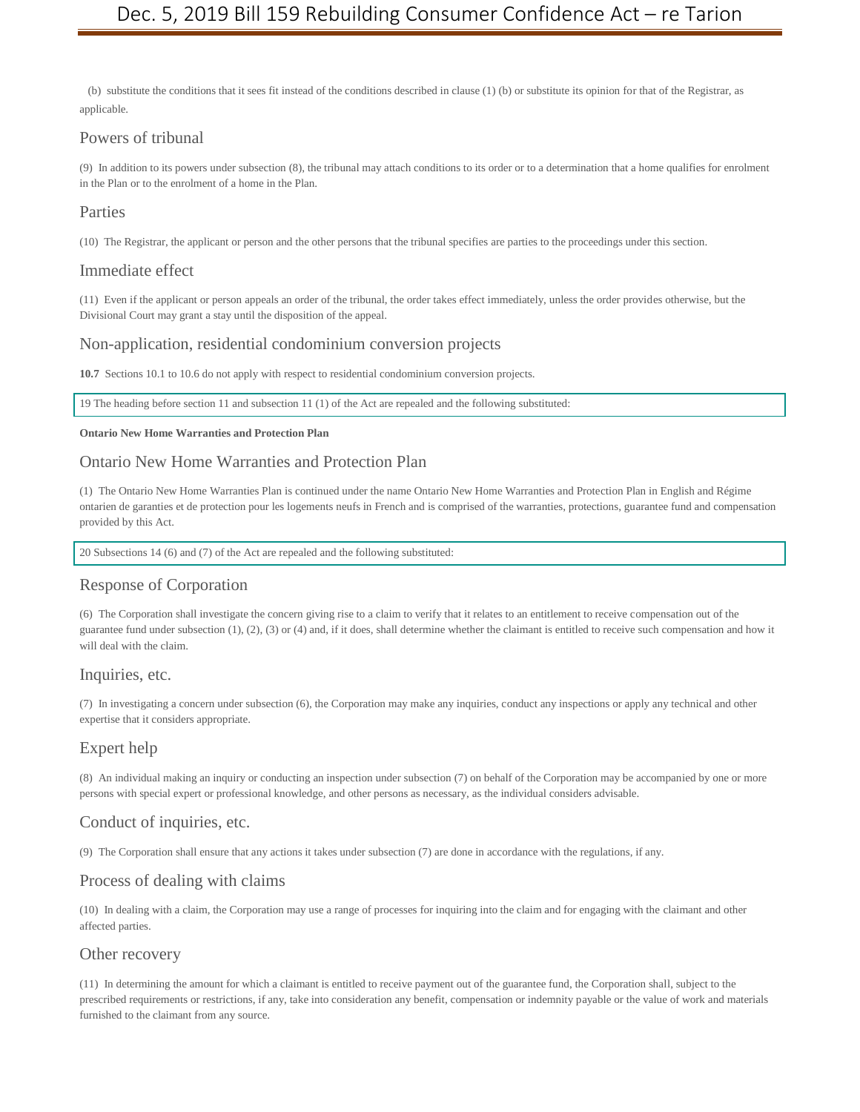(b) substitute the conditions that it sees fit instead of the conditions described in clause (1) (b) or substitute its opinion for that of the Registrar, as applicable.

## Powers of tribunal

(9) In addition to its powers under subsection (8), the tribunal may attach conditions to its order or to a determination that a home qualifies for enrolment in the Plan or to the enrolment of a home in the Plan.

## Parties

(10) The Registrar, the applicant or person and the other persons that the tribunal specifies are parties to the proceedings under this section.

#### Immediate effect

(11) Even if the applicant or person appeals an order of the tribunal, the order takes effect immediately, unless the order provides otherwise, but the Divisional Court may grant a stay until the disposition of the appeal.

## Non-application, residential condominium conversion projects

**10.7** Sections 10.1 to 10.6 do not apply with respect to residential condominium conversion projects.

19 The heading before section 11 and subsection 11 (1) of the Act are repealed and the following substituted:

#### **Ontario New Home Warranties and Protection Plan**

### Ontario New Home Warranties and Protection Plan

(1) The Ontario New Home Warranties Plan is continued under the name Ontario New Home Warranties and Protection Plan in English and Régime ontarien de garanties et de protection pour les logements neufs in French and is comprised of the warranties, protections, guarantee fund and compensation provided by this Act.

20 Subsections 14 (6) and (7) of the Act are repealed and the following substituted:

#### Response of Corporation

(6) The Corporation shall investigate the concern giving rise to a claim to verify that it relates to an entitlement to receive compensation out of the guarantee fund under subsection  $(1)$ ,  $(2)$ ,  $(3)$  or  $(4)$  and, if it does, shall determine whether the claimant is entitled to receive such compensation and how it will deal with the claim.

#### Inquiries, etc.

(7) In investigating a concern under subsection (6), the Corporation may make any inquiries, conduct any inspections or apply any technical and other expertise that it considers appropriate.

## Expert help

(8) An individual making an inquiry or conducting an inspection under subsection (7) on behalf of the Corporation may be accompanied by one or more persons with special expert or professional knowledge, and other persons as necessary, as the individual considers advisable.

## Conduct of inquiries, etc.

(9) The Corporation shall ensure that any actions it takes under subsection (7) are done in accordance with the regulations, if any.

#### Process of dealing with claims

(10) In dealing with a claim, the Corporation may use a range of processes for inquiring into the claim and for engaging with the claimant and other affected parties.

#### Other recovery

(11) In determining the amount for which a claimant is entitled to receive payment out of the guarantee fund, the Corporation shall, subject to the prescribed requirements or restrictions, if any, take into consideration any benefit, compensation or indemnity payable or the value of work and materials furnished to the claimant from any source.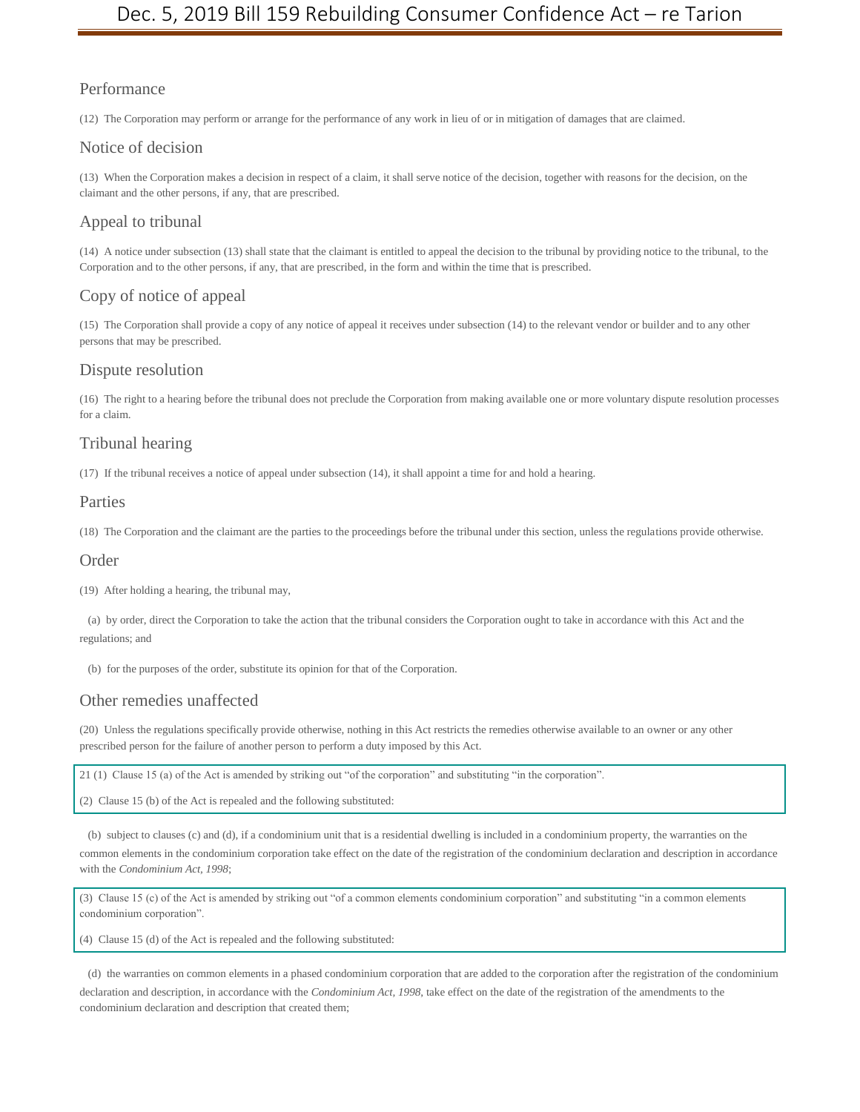## Performance

(12) The Corporation may perform or arrange for the performance of any work in lieu of or in mitigation of damages that are claimed.

## Notice of decision

(13) When the Corporation makes a decision in respect of a claim, it shall serve notice of the decision, together with reasons for the decision, on the claimant and the other persons, if any, that are prescribed.

## Appeal to tribunal

(14) A notice under subsection (13) shall state that the claimant is entitled to appeal the decision to the tribunal by providing notice to the tribunal, to the Corporation and to the other persons, if any, that are prescribed, in the form and within the time that is prescribed.

## Copy of notice of appeal

(15) The Corporation shall provide a copy of any notice of appeal it receives under subsection (14) to the relevant vendor or builder and to any other persons that may be prescribed.

#### Dispute resolution

(16) The right to a hearing before the tribunal does not preclude the Corporation from making available one or more voluntary dispute resolution processes for a claim.

## Tribunal hearing

(17) If the tribunal receives a notice of appeal under subsection (14), it shall appoint a time for and hold a hearing.

## Parties

(18) The Corporation and the claimant are the parties to the proceedings before the tribunal under this section, unless the regulations provide otherwise.

#### Order

(19) After holding a hearing, the tribunal may,

(a) by order, direct the Corporation to take the action that the tribunal considers the Corporation ought to take in accordance with this Act and the regulations; and

(b) for the purposes of the order, substitute its opinion for that of the Corporation.

## Other remedies unaffected

(20) Unless the regulations specifically provide otherwise, nothing in this Act restricts the remedies otherwise available to an owner or any other prescribed person for the failure of another person to perform a duty imposed by this Act.

21 (1) Clause 15 (a) of the Act is amended by striking out "of the corporation" and substituting "in the corporation".

(2) Clause 15 (b) of the Act is repealed and the following substituted:

(b) subject to clauses (c) and (d), if a condominium unit that is a residential dwelling is included in a condominium property, the warranties on the common elements in the condominium corporation take effect on the date of the registration of the condominium declaration and description in accordance with the *Condominium Act, 1998*;

(3) Clause 15 (c) of the Act is amended by striking out "of a common elements condominium corporation" and substituting "in a common elements condominium corporation".

(4) Clause 15 (d) of the Act is repealed and the following substituted:

(d) the warranties on common elements in a phased condominium corporation that are added to the corporation after the registration of the condominium

declaration and description, in accordance with the *Condominium Act, 1998*, take effect on the date of the registration of the amendments to the condominium declaration and description that created them;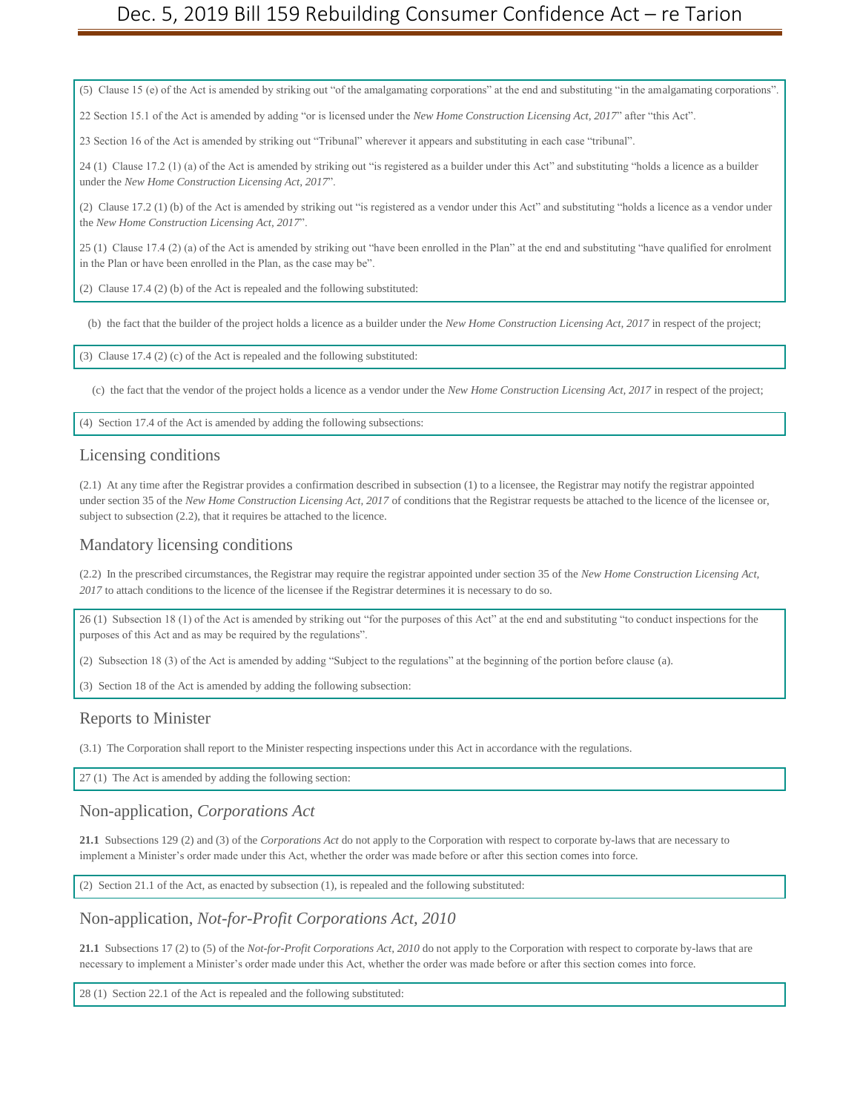(5) Clause 15 (e) of the Act is amended by striking out "of the amalgamating corporations" at the end and substituting "in the amalgamating corporations".

22 Section 15.1 of the Act is amended by adding "or is licensed under the *New Home Construction Licensing Act, 2017*" after "this Act".

23 Section 16 of the Act is amended by striking out "Tribunal" wherever it appears and substituting in each case "tribunal".

24 (1) Clause 17.2 (1) (a) of the Act is amended by striking out "is registered as a builder under this Act" and substituting "holds a licence as a builder under the *New Home Construction Licensing Act, 2017*".

(2) Clause 17.2 (1) (b) of the Act is amended by striking out "is registered as a vendor under this Act" and substituting "holds a licence as a vendor under the *New Home Construction Licensing Act, 2017*".

25 (1) Clause 17.4 (2) (a) of the Act is amended by striking out "have been enrolled in the Plan" at the end and substituting "have qualified for enrolment in the Plan or have been enrolled in the Plan, as the case may be".

(2) Clause 17.4 (2) (b) of the Act is repealed and the following substituted:

(b) the fact that the builder of the project holds a licence as a builder under the *New Home Construction Licensing Act, 2017* in respect of the project;

(3) Clause 17.4 (2) (c) of the Act is repealed and the following substituted:

(c) the fact that the vendor of the project holds a licence as a vendor under the *New Home Construction Licensing Act, 2017* in respect of the project;

(4) Section 17.4 of the Act is amended by adding the following subsections:

#### Licensing conditions

(2.1) At any time after the Registrar provides a confirmation described in subsection (1) to a licensee, the Registrar may notify the registrar appointed under section 35 of the *New Home Construction Licensing Act, 2017* of conditions that the Registrar requests be attached to the licence of the licensee or, subject to subsection (2.2), that it requires be attached to the licence.

#### Mandatory licensing conditions

(2.2) In the prescribed circumstances, the Registrar may require the registrar appointed under section 35 of the *New Home Construction Licensing Act, 2017* to attach conditions to the licence of the licensee if the Registrar determines it is necessary to do so.

26 (1) Subsection 18 (1) of the Act is amended by striking out "for the purposes of this Act" at the end and substituting "to conduct inspections for the purposes of this Act and as may be required by the regulations".

(2) Subsection 18 (3) of the Act is amended by adding "Subject to the regulations" at the beginning of the portion before clause (a).

(3) Section 18 of the Act is amended by adding the following subsection:

#### Reports to Minister

(3.1) The Corporation shall report to the Minister respecting inspections under this Act in accordance with the regulations.

27 (1) The Act is amended by adding the following section:

#### Non-application, *Corporations Act*

**21.1** Subsections 129 (2) and (3) of the *Corporations Act* do not apply to the Corporation with respect to corporate by-laws that are necessary to implement a Minister's order made under this Act, whether the order was made before or after this section comes into force.

(2) Section 21.1 of the Act, as enacted by subsection (1), is repealed and the following substituted:

Non-application, *Not-for-Profit Corporations Act, 2010*

**21.1** Subsections 17 (2) to (5) of the *Not-for-Profit Corporations Act, 2010* do not apply to the Corporation with respect to corporate by-laws that are necessary to implement a Minister's order made under this Act, whether the order was made before or after this section comes into force.

28 (1) Section 22.1 of the Act is repealed and the following substituted: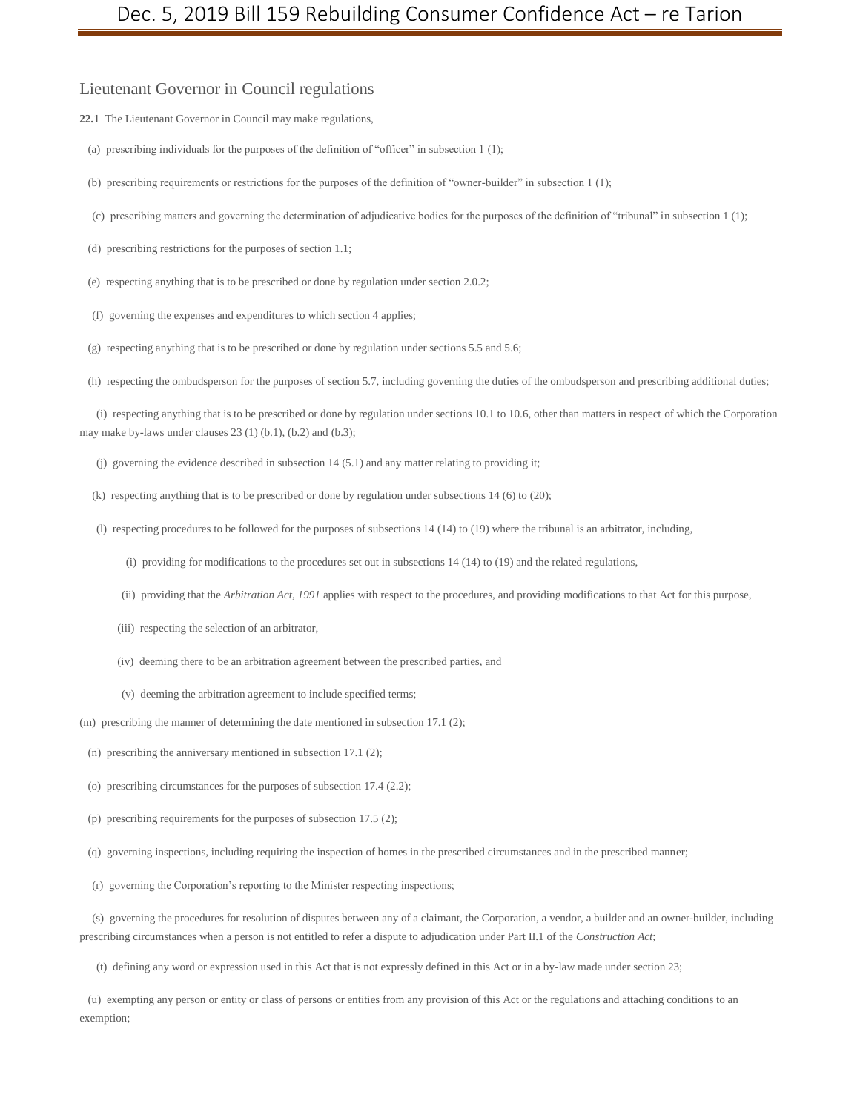Lieutenant Governor in Council regulations

**22.1** The Lieutenant Governor in Council may make regulations,

(a) prescribing individuals for the purposes of the definition of "officer" in subsection 1 (1);

(b) prescribing requirements or restrictions for the purposes of the definition of "owner-builder" in subsection 1 (1);

- (c) prescribing matters and governing the determination of adjudicative bodies for the purposes of the definition of "tribunal" in subsection 1 (1);
- (d) prescribing restrictions for the purposes of section 1.1;

(e) respecting anything that is to be prescribed or done by regulation under section 2.0.2;

(f) governing the expenses and expenditures to which section 4 applies;

(g) respecting anything that is to be prescribed or done by regulation under sections 5.5 and 5.6;

(h) respecting the ombudsperson for the purposes of section 5.7, including governing the duties of the ombudsperson and prescribing additional duties;

(i) respecting anything that is to be prescribed or done by regulation under sections 10.1 to 10.6, other than matters in respect of which the Corporation may make by-laws under clauses 23 (1) (b.1), (b.2) and (b.3);

(j) governing the evidence described in subsection 14 (5.1) and any matter relating to providing it;

- (k) respecting anything that is to be prescribed or done by regulation under subsections 14 (6) to (20);
- (l) respecting procedures to be followed for the purposes of subsections 14 (14) to (19) where the tribunal is an arbitrator, including,
	- (i) providing for modifications to the procedures set out in subsections 14 (14) to (19) and the related regulations,
	- (ii) providing that the *Arbitration Act, 1991* applies with respect to the procedures, and providing modifications to that Act for this purpose,
	- (iii) respecting the selection of an arbitrator,
	- (iv) deeming there to be an arbitration agreement between the prescribed parties, and
	- (v) deeming the arbitration agreement to include specified terms;

(m) prescribing the manner of determining the date mentioned in subsection 17.1 (2);

- (n) prescribing the anniversary mentioned in subsection 17.1 (2);
- (o) prescribing circumstances for the purposes of subsection 17.4 (2.2);
- (p) prescribing requirements for the purposes of subsection 17.5 (2);
- (q) governing inspections, including requiring the inspection of homes in the prescribed circumstances and in the prescribed manner;

(r) governing the Corporation's reporting to the Minister respecting inspections;

(s) governing the procedures for resolution of disputes between any of a claimant, the Corporation, a vendor, a builder and an owner-builder, including prescribing circumstances when a person is not entitled to refer a dispute to adjudication under Part II.1 of the *Construction Act*;

(t) defining any word or expression used in this Act that is not expressly defined in this Act or in a by-law made under section 23;

(u) exempting any person or entity or class of persons or entities from any provision of this Act or the regulations and attaching conditions to an exemption;